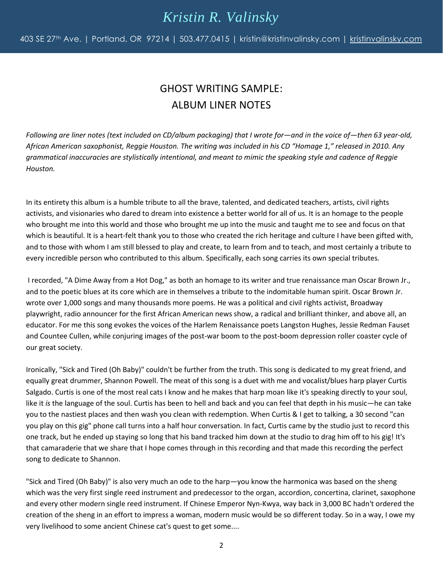## *Kristin R. Valinsky*

403 SE 27<sup>th</sup> Ave. | Portland, OR 97214 | 503.477.0415 | kristin@kristinvalinsky.com | [kristinvalinsky.com](http://www.kristinvalinsky.com/)

## GHOST WRITING SAMPLE: ALBUM LINER NOTES

*Following are liner notes (text included on CD/album packaging) that I wrote for—and in the voice of—then 63 year-old, African American saxophonist, Reggie Houston. The writing was included in his CD "Homage 1," released in 2010. Any grammatical inaccuracies are stylistically intentional, and meant to mimic the speaking style and cadence of Reggie Houston.*

In its entirety this album is a humble tribute to all the brave, talented, and dedicated teachers, artists, civil rights activists, and visionaries who dared to dream into existence a better world for all of us. It is an homage to the people who brought me into this world and those who brought me up into the music and taught me to see and focus on that which is beautiful. It is a heart-felt thank you to those who created the rich heritage and culture I have been gifted with, and to those with whom I am still blessed to play and create, to learn from and to teach, and most certainly a tribute to every incredible person who contributed to this album. Specifically, each song carries its own special tributes.

I recorded, "A Dime Away from a Hot Dog," as both an homage to its writer and true renaissance man Oscar Brown Jr., and to the poetic blues at its core which are in themselves a tribute to the indomitable human spirit. Oscar Brown Jr. wrote over 1,000 songs and many thousands more poems. He was a political and civil rights activist, Broadway playwright, radio announcer for the first African American news show, a radical and brilliant thinker, and above all, an educator. For me this song evokes the voices of the Harlem Renaissance poets Langston Hughes, Jessie Redman Fauset and Countee Cullen, while conjuring images of the post-war boom to the post-boom depression roller coaster cycle of our great society.

Ironically, "Sick and Tired (Oh Baby)" couldn't be further from the truth. This song is dedicated to my great friend, and equally great drummer, Shannon Powell. The meat of this song is a duet with me and vocalist/blues harp player Curtis Salgado. Curtis is one of the most real cats I know and he makes that harp moan like it's speaking directly to your soul, like it *is* the language of the soul. Curtis has been to hell and back and you can feel that depth in his music—he can take you to the nastiest places and then wash you clean with redemption. When Curtis & I get to talking, a 30 second "can you play on this gig" phone call turns into a half hour conversation. In fact, Curtis came by the studio just to record this one track, but he ended up staying so long that his band tracked him down at the studio to drag him off to his gig! It's that camaraderie that we share that I hope comes through in this recording and that made this recording the perfect song to dedicate to Shannon.

"Sick and Tired (Oh Baby)" is also very much an ode to the harp—you know the harmonica was based on the sheng which was the very first single reed instrument and predecessor to the organ, accordion, concertina, clarinet, saxophone and every other modern single reed instrument. If Chinese Emperor Nyn-Kwya, way back in 3,000 BC hadn't ordered the creation of the sheng in an effort to impress a woman, modern music would be so different today. So in a way, I owe my very livelihood to some ancient Chinese cat's quest to get some....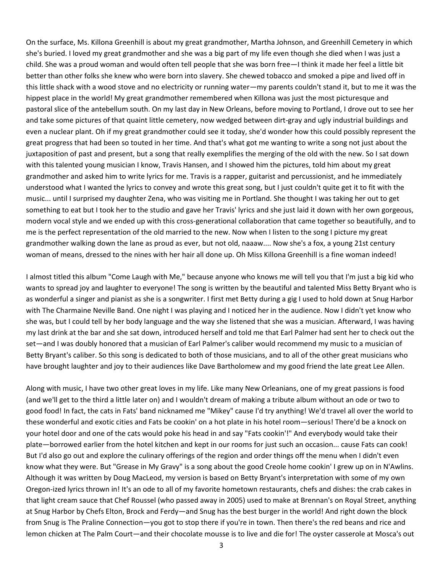On the surface, Ms. Killona Greenhill is about my great grandmother, Martha Johnson, and Greenhill Cemetery in which she's buried. I loved my great grandmother and she was a big part of my life even though she died when I was just a child. She was a proud woman and would often tell people that she was born free—I think it made her feel a little bit better than other folks she knew who were born into slavery. She chewed tobacco and smoked a pipe and lived off in this little shack with a wood stove and no electricity or running water—my parents couldn't stand it, but to me it was the hippest place in the world! My great grandmother remembered when Killona was just the most picturesque and pastoral slice of the antebellum south. On my last day in New Orleans, before moving to Portland, I drove out to see her and take some pictures of that quaint little cemetery, now wedged between dirt-gray and ugly industrial buildings and even a nuclear plant. Oh if my great grandmother could see it today, she'd wonder how this could possibly represent the great progress that had been so touted in her time. And that's what got me wanting to write a song not just about the juxtaposition of past and present, but a song that really exemplifies the merging of the old with the new. So I sat down with this talented young musician I know, Travis Hansen, and I showed him the pictures, told him about my great grandmother and asked him to write lyrics for me. Travis is a rapper, guitarist and percussionist, and he immediately understood what I wanted the lyrics to convey and wrote this great song, but I just couldn't quite get it to fit with the music... until I surprised my daughter Zena, who was visiting me in Portland. She thought I was taking her out to get something to eat but I took her to the studio and gave her Travis' lyrics and she just laid it down with her own gorgeous, modern vocal style and we ended up with this cross-generational collaboration that came together so beautifully, and to me is the perfect representation of the old married to the new. Now when I listen to the song I picture my great grandmother walking down the lane as proud as ever, but not old, naaaw.... Now she's a fox, a young 21st century woman of means, dressed to the nines with her hair all done up. Oh Miss Killona Greenhill is a fine woman indeed!

I almost titled this album "Come Laugh with Me," because anyone who knows me will tell you that I'm just a big kid who wants to spread joy and laughter to everyone! The song is written by the beautiful and talented Miss Betty Bryant who is as wonderful a singer and pianist as she is a songwriter. I first met Betty during a gig I used to hold down at Snug Harbor with The Charmaine Neville Band. One night I was playing and I noticed her in the audience. Now I didn't yet know who she was, but I could tell by her body language and the way she listened that she was a musician. Afterward, I was having my last drink at the bar and she sat down, introduced herself and told me that Earl Palmer had sent her to check out the set—and I was doubly honored that a musician of Earl Palmer's caliber would recommend my music to a musician of Betty Bryant's caliber. So this song is dedicated to both of those musicians, and to all of the other great musicians who have brought laughter and joy to their audiences like Dave Bartholomew and my good friend the late great Lee Allen.

Along with music, I have two other great loves in my life. Like many New Orleanians, one of my great passions is food (and we'll get to the third a little later on) and I wouldn't dream of making a tribute album without an ode or two to good food! In fact, the cats in Fats' band nicknamed me "Mikey" cause I'd try anything! We'd travel all over the world to these wonderful and exotic cities and Fats be cookin' on a hot plate in his hotel room—serious! There'd be a knock on your hotel door and one of the cats would poke his head in and say "Fats cookin'!" And everybody would take their plate—borrowed earlier from the hotel kitchen and kept in our rooms for just such an occasion... cause Fats can cook! But I'd also go out and explore the culinary offerings of the region and order things off the menu when I didn't even know what they were. But "Grease in My Gravy" is a song about the good Creole home cookin' I grew up on in N'Awlins. Although it was written by Doug MacLeod, my version is based on Betty Bryant's interpretation with some of my own Oregon-ized lyrics thrown in! It's an ode to all of my favorite hometown restaurants, chefs and dishes: the crab cakes in that light cream sauce that Chef Roussel (who passed away in 2005) used to make at Brennan's on Royal Street, anything at Snug Harbor by Chefs Elton, Brock and Ferdy—and Snug has the best burger in the world! And right down the block from Snug is The Praline Connection—you got to stop there if you're in town. Then there's the red beans and rice and lemon chicken at The Palm Court—and their chocolate mousse is to live and die for! The oyster casserole at Mosca's out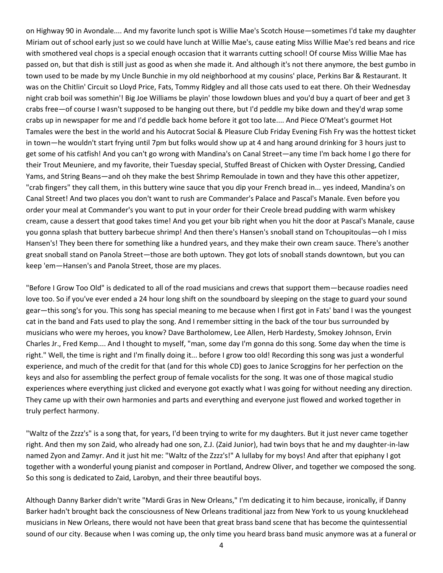on Highway 90 in Avondale.... And my favorite lunch spot is Willie Mae's Scotch House—sometimes I'd take my daughter Miriam out of school early just so we could have lunch at Willie Mae's, cause eating Miss Willie Mae's red beans and rice with smothered veal chops is a special enough occasion that it warrants cutting school! Of course Miss Willie Mae has passed on, but that dish is still just as good as when she made it. And although it's not there anymore, the best gumbo in town used to be made by my Uncle Bunchie in my old neighborhood at my cousins' place, Perkins Bar & Restaurant. It was on the Chitlin' Circuit so Lloyd Price, Fats, Tommy Ridgley and all those cats used to eat there. Oh their Wednesday night crab boil was somethin'! Big Joe Williams be playin' those lowdown blues and you'd buy a quart of beer and get 3 crabs free—of course I wasn't supposed to be hanging out there, but I'd peddle my bike down and they'd wrap some crabs up in newspaper for me and I'd peddle back home before it got too late.... And Piece O'Meat's gourmet Hot Tamales were the best in the world and his Autocrat Social & Pleasure Club Friday Evening Fish Fry was the hottest ticket in town—he wouldn't start frying until 7pm but folks would show up at 4 and hang around drinking for 3 hours just to get some of his catfish! And you can't go wrong with Mandina's on Canal Street—any time I'm back home I go there for their Trout Meuniere, and my favorite, their Tuesday special, Stuffed Breast of Chicken with Oyster Dressing, Candied Yams, and String Beans—and oh they make the best Shrimp Remoulade in town and they have this other appetizer, "crab fingers" they call them, in this buttery wine sauce that you dip your French bread in... yes indeed, Mandina's on Canal Street! And two places you don't want to rush are Commander's Palace and Pascal's Manale. Even before you order your meal at Commander's you want to put in your order for their Creole bread pudding with warm whiskey cream, cause a dessert that good takes time! And you get your bib right when you hit the door at Pascal's Manale, cause you gonna splash that buttery barbecue shrimp! And then there's Hansen's snoball stand on Tchoupitoulas—oh I miss Hansen's! They been there for something like a hundred years, and they make their own cream sauce. There's another great snoball stand on Panola Street—those are both uptown. They got lots of snoball stands downtown, but you can keep 'em—Hansen's and Panola Street, those are my places.

"Before I Grow Too Old" is dedicated to all of the road musicians and crews that support them—because roadies need love too. So if you've ever ended a 24 hour long shift on the soundboard by sleeping on the stage to guard your sound gear—this song's for you. This song has special meaning to me because when I first got in Fats' band I was the youngest cat in the band and Fats used to play the song. And I remember sitting in the back of the tour bus surrounded by musicians who were my heroes, you know? Dave Bartholomew, Lee Allen, Herb Hardesty, Smokey Johnson, Ervin Charles Jr., Fred Kemp.... And I thought to myself, "man, some day I'm gonna do this song. Some day when the time is right." Well, the time is right and I'm finally doing it... before I grow too old! Recording this song was just a wonderful experience, and much of the credit for that (and for this whole CD) goes to Janice Scroggins for her perfection on the keys and also for assembling the perfect group of female vocalists for the song. It was one of those magical studio experiences where everything just clicked and everyone got exactly what I was going for without needing any direction. They came up with their own harmonies and parts and everything and everyone just flowed and worked together in truly perfect harmony.

"Waltz of the Zzzz's" is a song that, for years, I'd been trying to write for my daughters. But it just never came together right. And then my son Zaid, who already had one son, Z.J. (Zaid Junior), had twin boys that he and my daughter-in-law named Zyon and Zamyr. And it just hit me: "Waltz of the Zzzz's!" A lullaby for my boys! And after that epiphany I got together with a wonderful young pianist and composer in Portland, Andrew Oliver, and together we composed the song. So this song is dedicated to Zaid, Larobyn, and their three beautiful boys.

Although Danny Barker didn't write "Mardi Gras in New Orleans," I'm dedicating it to him because, ironically, if Danny Barker hadn't brought back the consciousness of New Orleans traditional jazz from New York to us young knucklehead musicians in New Orleans, there would not have been that great brass band scene that has become the quintessential sound of our city. Because when I was coming up, the only time you heard brass band music anymore was at a funeral or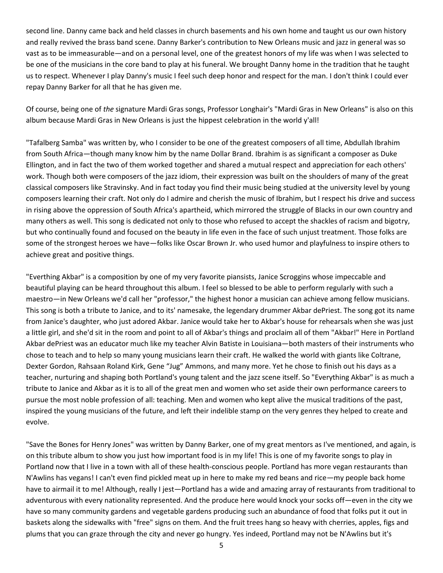second line. Danny came back and held classes in church basements and his own home and taught us our own history and really revived the brass band scene. Danny Barker's contribution to New Orleans music and jazz in general was so vast as to be immeasurable—and on a personal level, one of the greatest honors of my life was when I was selected to be one of the musicians in the core band to play at his funeral. We brought Danny home in the tradition that he taught us to respect. Whenever I play Danny's music I feel such deep honor and respect for the man. I don't think I could ever repay Danny Barker for all that he has given me.

Of course, being one of *the* signature Mardi Gras songs, Professor Longhair's "Mardi Gras in New Orleans" is also on this album because Mardi Gras in New Orleans is just the hippest celebration in the world y'all!

"Tafalberg Samba" was written by, who I consider to be one of the greatest composers of all time, Abdullah Ibrahim from South Africa—though many know him by the name Dollar Brand. Ibrahim is as significant a composer as Duke Ellington, and in fact the two of them worked together and shared a mutual respect and appreciation for each others' work. Though both were composers of the jazz idiom, their expression was built on the shoulders of many of the great classical composers like Stravinsky. And in fact today you find their music being studied at the university level by young composers learning their craft. Not only do I admire and cherish the music of Ibrahim, but I respect his drive and success in rising above the oppression of South Africa's apartheid, which mirrored the struggle of Blacks in our own country and many others as well. This song is dedicated not only to those who refused to accept the shackles of racism and bigotry, but who continually found and focused on the beauty in life even in the face of such unjust treatment. Those folks are some of the strongest heroes we have—folks like Oscar Brown Jr. who used humor and playfulness to inspire others to achieve great and positive things.

"Everthing Akbar" is a composition by one of my very favorite piansists, Janice Scroggins whose impeccable and beautiful playing can be heard throughout this album. I feel so blessed to be able to perform regularly with such a maestro—in New Orleans we'd call her "professor," the highest honor a musician can achieve among fellow musicians. This song is both a tribute to Janice, and to its' namesake, the legendary drummer Akbar dePriest. The song got its name from Janice's daughter, who just adored Akbar. Janice would take her to Akbar's house for rehearsals when she was just a little girl, and she'd sit in the room and point to all of Akbar's things and proclaim all of them "Akbar!" Here in Portland Akbar dePriest was an educator much like my teacher Alvin Batiste in Louisiana—both masters of their instruments who chose to teach and to help so many young musicians learn their craft. He walked the world with giants like Coltrane, Dexter Gordon, Rahsaan Roland Kirk, Gene "Jug" Ammons, and many more. Yet he chose to finish out his days as a teacher, nurturing and shaping both Portland's young talent and the jazz scene itself. So "Everything Akbar" is as much a tribute to Janice and Akbar as it is to all of the great men and women who set aside their own performance careers to pursue the most noble profession of all: teaching. Men and women who kept alive the musical traditions of the past, inspired the young musicians of the future, and left their indelible stamp on the very genres they helped to create and evolve.

"Save the Bones for Henry Jones" was written by Danny Barker, one of my great mentors as I've mentioned, and again, is on this tribute album to show you just how important food is in my life! This is one of my favorite songs to play in Portland now that I live in a town with all of these health-conscious people. Portland has more vegan restaurants than N'Awlins has vegans! I can't even find pickled meat up in here to make my red beans and rice—my people back home have to airmail it to me! Although, really I jest—Portland has a wide and amazing array of restaurants from traditional to adventurous with every nationality represented. And the produce here would knock your socks off—even in the city we have so many community gardens and vegetable gardens producing such an abundance of food that folks put it out in baskets along the sidewalks with "free" signs on them. And the fruit trees hang so heavy with cherries, apples, figs and plums that you can graze through the city and never go hungry. Yes indeed, Portland may not be N'Awlins but it's